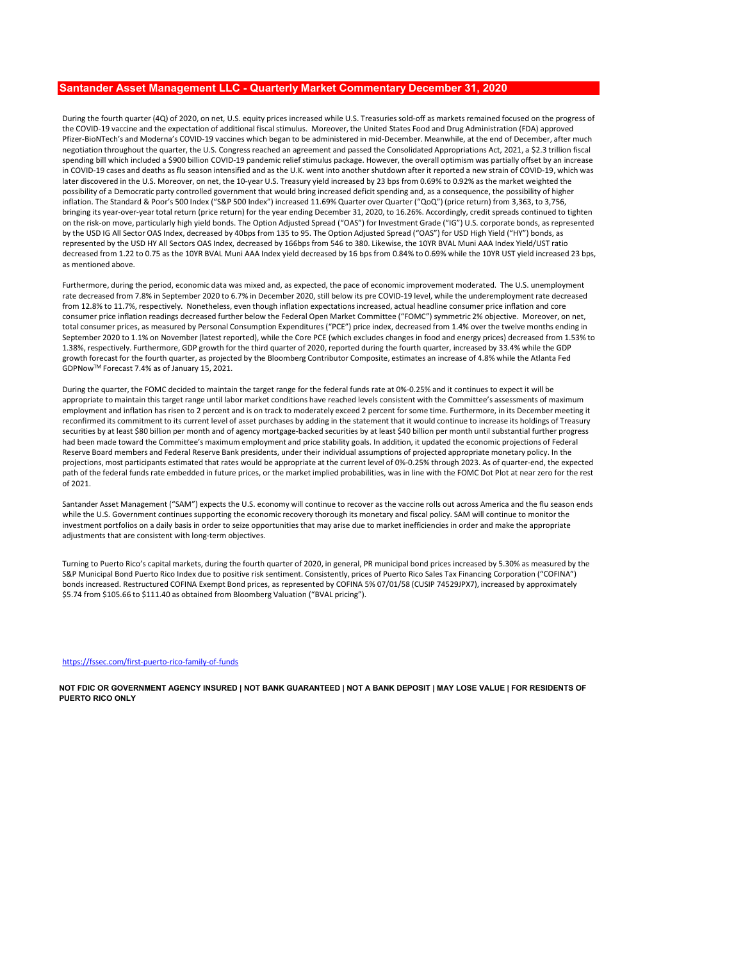# Santander Asset Management LLC - Quarterly Market Commentary December 31, 2020

During the fourth quarter (4Q) of 2020, on net, U.S. equity prices increased while U.S. Treasuries sold-off as markets remained focused on the progress of the COVID-19 vaccine and the expectation of additional fiscal stimulus. Moreover, the United States Food and Drug Administration (FDA) approved Pfizer-BioNTech's and Moderna's COVID-19 vaccines which began to be administered in mid-December. Meanwhile, at the end of December, after much **Entitander Asset Managrement 41.6 - Quarterly Market Commentary December 31, 2020**<br>During the fourth quarter (40) of 2020, on net, 1.5, equity prices increased while U.S. Treasures poisoid for a markets remained footused spending bill which included a \$900 billion COVID-19 pandemic relief stimulus package. However, the overall optimism was partially offset by an increase **SENIERING PASSON METABO COVID-19 cases and deaths as fluid of the COVID-19 cases and the convertered and as fluid of a 2002 cases and deaths as fluid of another shutdown after it and as fluid of a strained strained and th** later discovered in the U.S. Moreover, on net, the 10-year U.S. Treasury yield increased by 23 bps from 0.69% to 0.92% as the market weighted the possibility of a Democratic party controlled government that would bring increased deficit spending and, as a consequence, the possibility of higher inflation. The Standard & Poor's 500 Index ("S&P 500 Index") increased 11.69% Quarter over Quarter ("QoQ") (price return) from 3,363, to 3,756, bringing its year-over-year total return (price return) for the year ending December 31, 2020, to 16.26%. Accordingly, credit spreads continued to tighten on the risk-on move, particularly high yield bonds. The Option Adjusted Spread ("OAS") for Investment Grade ("IG") U.S. corporate bonds, as represented by the USD IG All Sector OAS Index, decreased by 40bps from 135 to 95. The Option Adjusted Spread ("OAS") for USD High Yield ("HY") bonds, as represented by the USD HY All Sectors OAS Index, decreased by 166bps from 546 to 380. Likewise, the 10YR BVAL Muni AAA Index Yield/UST ratio decreased from 1.22 to 0.75 as the 10YR BVAL Muni AAA Index yield decreased by 16 bps from 0.84% to 0.69% while the 10YR UST yield increased 23 bps, as mentioned above. **Santander Asset Management LLC - Quarterly Market Commentary December 31, 2020**<br>
Duction developerate victory on red. 15. event prices increased with U.S. Tensine's able of a market weight sole of the properties of the c Santander Asset Management LLC - Quanterly Market Commentary December 31, 2020<br>During halm-barried (1970) a consumer prices as measured with a Transmission Experimentation Consumer prices as<br>the COU-19 vacine as the separ Similarder, Asset Management LLC – Quarterly Market Commentary December 31, 2020<br>Information for the fourth quarter (4.0) are not 15 similar increased with 5 if Tensies and of a metasta minimal federation first increased b ducre the four interact (42) of 2020, on out U.S. could put and its December and its analysis and interact and its put and its put and its put and its put and its put and its put and its put and its put and its put and its Bureau Reconfirmed its commitment in the commitment when the transmit will all the transmit in the minimum commitment in the propose of a minimum commitment in the statement of asset purchases by a minimum commitment in th

Furthermore, during the period, economic data was mixed and, as expected, the pace of economic improvement moderated. The U.S. unemployment rate decreased from 7.8% in September 2020 to 6.7% in December 2020, still below its pre COVID-19 level, while the underemployment rate decreased consumer price inflation readings decreased further below the Federal Open Market Committee ("FOMC") symmetric 2% objective. Moreover, on net,<br>total consumer prices, as measured by Personal Consumption Expenditures ("PCE") September 2020 to 1.1% on November (latest reported), while the Core PCE (which excludes changes in food and energy prices) decreased from 1.53% to 1.38%, respectively. Furthermore, GDP growth for the third quarter of 2020, reported during the fourth quarter, increased by 33.4% while the GDP GDPNowTM Forecast 7.4% as of January 15, 2021.

During the quarter, the FOMC decided to maintain the target range for the federal funds rate at 0%-0.25% and it continues to expect it will be appropriate to maintain this target range until labor market conditions have reached levels consistent with the Committee's assessments of maximum securities by at least \$80 billion per month and of agency mortgage-backed securities by at least \$40 billion per month until substantial further progress had been made toward the Committee's maximum employment and price stability goals. In addition, it updated the economic projections of Federal Reserve Board members and Federal Reserve Bank presidents, under their individual assumptions of projected appropriate monetary policy. In the projections, most participants estimated that rates would be appropriate at the current level of 0%-0.25% through 2023. As of quarter-end, the expected path of the federal funds rate embedded in future prices, or the market implied probabilities, was in line with the FOMC Dot Plot at near zero for the rest of 2021. antistics. The standard Pack Content ("SAM") expects the U.S. enter the vaccine ("DCC") per management ("Same all and the U.S. enter ("SAM") experiment ("Same all and the U.S. enter the U.S. enter the U.S. enter the U.S. e Furthermore, done generally entered increased methods in a restructured COFINA Exercises of exercises the control methods increased by COFINA Exercises with the state of exercises of the control methods in a represented by

while the U.S. Government continues supporting the economic recovery thorough its monetary and fiscal policy. SAM will continue to monitor the investment portfolios on a daily basis in order to seize opportunities that may arise due to market inefficiencies in order and make the appropriate adjustments that are consistent with long-term objectives.

Turning to Puerto Rico's capital markets, during the fourth quarter of 2020, in general, PR municipal bond prices increased by 5.30% as measured by the S&P Municipal Bond Puerto Rico Index due to positive risk sentiment. Consistently, prices of Puerto Rico Sales Tax Financing Corporation ("COFINA") \$5.74 from \$105.66 to \$111.40 as obtained from Bloomberg Valuation ("BVAL pricing").

### https://fssec.com/first-puerto-rico-family-of-funds

NOT FDIC OR GOVERNMENT AGENCY INSURED | NOT BANK GUARANTEED | NOT A BANK DEPOSIT | MAY LOSE VALUE | FOR RESIDENTS OF PUERTO RICO ONLY